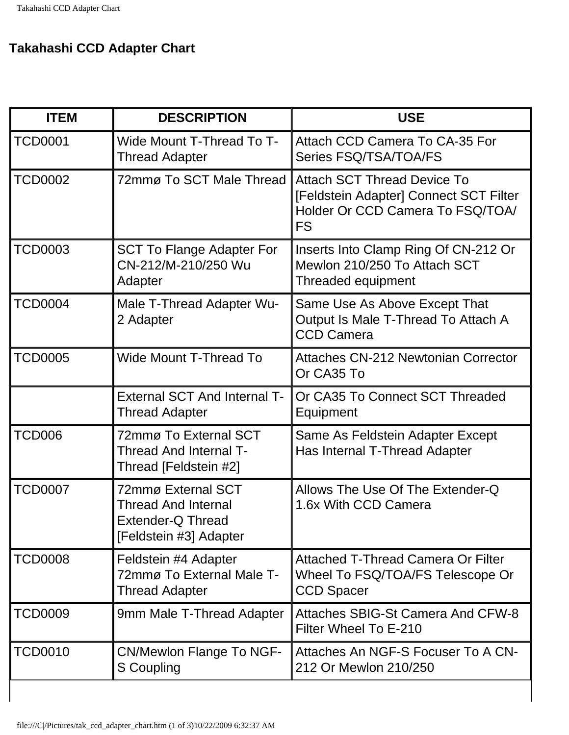## **Takahashi CCD Adapter Chart**

| <b>ITEM</b>    | <b>DESCRIPTION</b>                                                                                     | <b>USE</b>                                                                                                                    |
|----------------|--------------------------------------------------------------------------------------------------------|-------------------------------------------------------------------------------------------------------------------------------|
| <b>TCD0001</b> | <b>Wide Mount T-Thread To T-</b><br><b>Thread Adapter</b>                                              | <b>Attach CCD Camera To CA-35 For</b><br>Series FSQ/TSA/TOA/FS                                                                |
| <b>TCD0002</b> | 72mmø To SCT Male Thread                                                                               | <b>Attach SCT Thread Device To</b><br>[Feldstein Adapter] Connect SCT Filter<br>Holder Or CCD Camera To FSQ/TOA/<br><b>FS</b> |
| <b>TCD0003</b> | <b>SCT To Flange Adapter For</b><br>CN-212/M-210/250 Wu<br>Adapter                                     | Inserts Into Clamp Ring Of CN-212 Or<br>Mewlon 210/250 To Attach SCT<br>Threaded equipment                                    |
| <b>TCD0004</b> | Male T-Thread Adapter Wu-<br>2 Adapter                                                                 | Same Use As Above Except That<br>Output Is Male T-Thread To Attach A<br><b>CCD Camera</b>                                     |
| <b>TCD0005</b> | <b>Wide Mount T-Thread To</b>                                                                          | <b>Attaches CN-212 Newtonian Corrector</b><br>Or CA35 To                                                                      |
|                | <b>External SCT And Internal T-</b><br><b>Thread Adapter</b>                                           | Or CA35 To Connect SCT Threaded<br>Equipment                                                                                  |
| TCD006         | 72mmø To External SCT<br>Thread And Internal T-<br>Thread [Feldstein #2]                               | Same As Feldstein Adapter Except<br>Has Internal T-Thread Adapter                                                             |
| <b>TCD0007</b> | 72mmø External SCT<br><b>Thread And Internal</b><br><b>Extender-Q Thread</b><br>[Feldstein #3] Adapter | Allows The Use Of The Extender-Q<br>1.6x With CCD Camera                                                                      |
| <b>TCD0008</b> | Feldstein #4 Adapter<br>72mmø To External Male T-<br><b>Thread Adapter</b>                             | Attached T-Thread Camera Or Filter<br>Wheel To FSQ/TOA/FS Telescope Or<br><b>CCD Spacer</b>                                   |
| <b>TCD0009</b> | 9mm Male T-Thread Adapter                                                                              | Attaches SBIG-St Camera And CFW-8<br>Filter Wheel To E-210                                                                    |
| <b>TCD0010</b> | <b>CN/Mewlon Flange To NGF-</b><br>S Coupling                                                          | Attaches An NGF-S Focuser To A CN-<br>212 Or Mewlon 210/250                                                                   |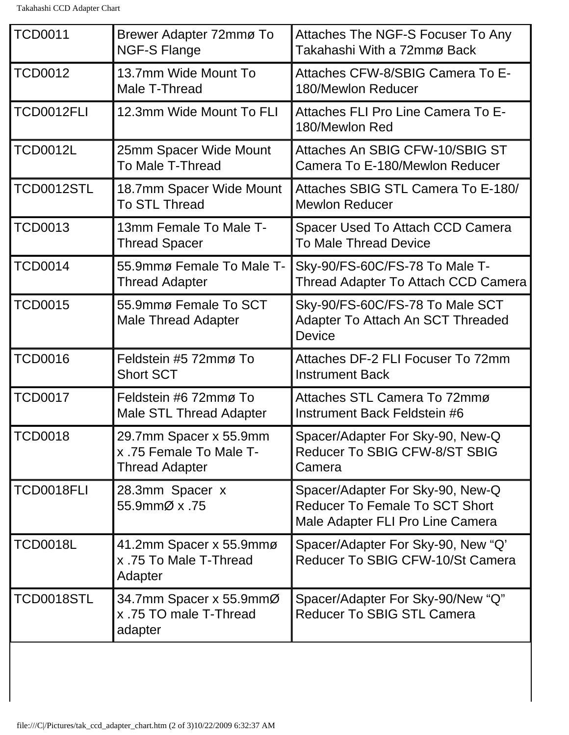| <b>TCD0011</b>  | Brewer Adapter 72mmø To<br><b>NGF-S Flange</b>                             | Attaches The NGF-S Focuser To Any<br>Takahashi With a 72mmø Back                                              |
|-----------------|----------------------------------------------------------------------------|---------------------------------------------------------------------------------------------------------------|
| <b>TCD0012</b>  | 13.7mm Wide Mount To<br>Male T-Thread                                      | Attaches CFW-8/SBIG Camera To E-<br>180/Mewlon Reducer                                                        |
| TCD0012FLI      | 12.3mm Wide Mount To FLI                                                   | Attaches FLI Pro Line Camera To E-<br>180/Mewlon Red                                                          |
| <b>TCD0012L</b> | 25mm Spacer Wide Mount<br>To Male T-Thread                                 | Attaches An SBIG CFW-10/SBIG ST<br>Camera To E-180/Mewlon Reducer                                             |
| TCD0012STL      | 18.7mm Spacer Wide Mount<br>To STL Thread                                  | Attaches SBIG STL Camera To E-180/<br><b>Mewlon Reducer</b>                                                   |
| <b>TCD0013</b>  | 13mm Female To Male T-<br><b>Thread Spacer</b>                             | Spacer Used To Attach CCD Camera<br><b>To Male Thread Device</b>                                              |
| <b>TCD0014</b>  | 55.9mmø Female To Male T-<br><b>Thread Adapter</b>                         | Sky-90/FS-60C/FS-78 To Male T-<br>Thread Adapter To Attach CCD Camera                                         |
| <b>TCD0015</b>  | 55.9mmø Female To SCT<br><b>Male Thread Adapter</b>                        | Sky-90/FS-60C/FS-78 To Male SCT<br>Adapter To Attach An SCT Threaded<br><b>Device</b>                         |
| <b>TCD0016</b>  | Feldstein #5 72mmø To<br><b>Short SCT</b>                                  | Attaches DF-2 FLI Focuser To 72mm<br><b>Instrument Back</b>                                                   |
| <b>TCD0017</b>  | Feldstein #6 72mmø To<br><b>Male STL Thread Adapter</b>                    | Attaches STL Camera To 72mmø<br>Instrument Back Feldstein #6                                                  |
| <b>TCD0018</b>  | 29.7mm Spacer x 55.9mm<br>x .75 Female To Male T-<br><b>Thread Adapter</b> | Spacer/Adapter For Sky-90, New-Q<br>Reducer To SBIG CFW-8/ST SBIG<br>Camera                                   |
| TCD0018FLI      | 28.3mm Spacer x<br>55.9mmØ x .75                                           | Spacer/Adapter For Sky-90, New-Q<br><b>Reducer To Female To SCT Short</b><br>Male Adapter FLI Pro Line Camera |
| <b>TCD0018L</b> | 41.2mm Spacer x 55.9mmø<br>x .75 To Male T-Thread<br>Adapter               | Spacer/Adapter For Sky-90, New "Q"<br>Reducer To SBIG CFW-10/St Camera                                        |
| TCD0018STL      | 34.7mm Spacer x 55.9mmØ<br>x .75 TO male T-Thread<br>adapter               | Spacer/Adapter For Sky-90/New "Q"<br><b>Reducer To SBIG STL Camera</b>                                        |